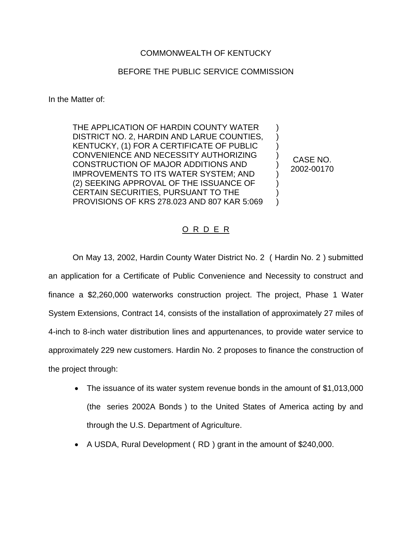## COMMONWEALTH OF KENTUCKY

## BEFORE THE PUBLIC SERVICE COMMISSION

In the Matter of:

THE APPLICATION OF HARDIN COUNTY WATER DISTRICT NO. 2, HARDIN AND LARUE COUNTIES, KENTUCKY, (1) FOR A CERTIFICATE OF PUBLIC CONVENIENCE AND NECESSITY AUTHORIZING CONSTRUCTION OF MAJOR ADDITIONS AND IMPROVEMENTS TO ITS WATER SYSTEM; AND (2) SEEKING APPROVAL OF THE ISSUANCE OF CERTAIN SECURITIES, PURSUANT TO THE PROVISIONS OF KRS 278.023 AND 807 KAR 5:069

CASE NO. 2002-00170

) ) ) ) ) ) ) )  $\lambda$ 

## O R D E R

On May 13, 2002, Hardin County Water District No. 2 ( Hardin No. 2 ) submitted an application for a Certificate of Public Convenience and Necessity to construct and finance a \$2,260,000 waterworks construction project. The project, Phase 1 Water System Extensions, Contract 14, consists of the installation of approximately 27 miles of 4-inch to 8-inch water distribution lines and appurtenances, to provide water service to approximately 229 new customers. Hardin No. 2 proposes to finance the construction of the project through:

- The issuance of its water system revenue bonds in the amount of \$1,013,000 (the series 2002A Bonds ) to the United States of America acting by and through the U.S. Department of Agriculture.
- A USDA, Rural Development (RD) grant in the amount of \$240,000.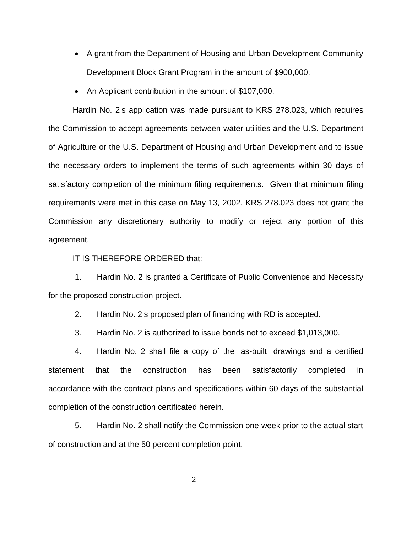- A grant from the Department of Housing and Urban Development Community Development Block Grant Program in the amount of \$900,000.
- ∑ An Applicant contribution in the amount of \$107,000.

Hardin No. 2 s application was made pursuant to KRS 278.023, which requires the Commission to accept agreements between water utilities and the U.S. Department of Agriculture or the U.S. Department of Housing and Urban Development and to issue the necessary orders to implement the terms of such agreements within 30 days of satisfactory completion of the minimum filing requirements. Given that minimum filing requirements were met in this case on May 13, 2002, KRS 278.023 does not grant the Commission any discretionary authority to modify or reject any portion of this agreement.

IT IS THEREFORE ORDERED that:

1. Hardin No. 2 is granted a Certificate of Public Convenience and Necessity for the proposed construction project.

2. Hardin No. 2 s proposed plan of financing with RD is accepted.

3. Hardin No. 2 is authorized to issue bonds not to exceed \$1,013,000.

4. Hardin No. 2 shall file a copy of the as-built drawings and a certified statement that the construction has been satisfactorily completed in accordance with the contract plans and specifications within 60 days of the substantial completion of the construction certificated herein.

5. Hardin No. 2 shall notify the Commission one week prior to the actual start of construction and at the 50 percent completion point.

-2-